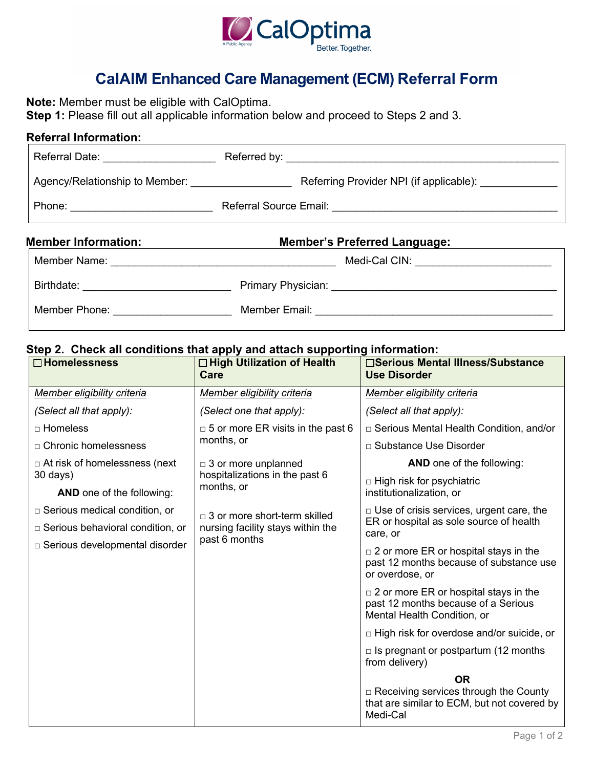

## **CalAIM Enhanced Care Management (ECM) Referral Form**

 **Step 1:** Please fill out all applicable information below and proceed to Steps 2 and 3. **Note:** Member must be eligible with CalOptima.

# Referral Date: \_\_\_\_\_\_\_\_\_\_\_\_\_\_\_\_\_\_\_ Referred by: \_\_\_\_\_\_\_\_\_\_\_\_\_\_\_\_\_\_\_\_\_\_\_\_\_\_\_\_\_\_\_\_\_\_\_\_\_\_\_\_\_\_\_\_\_\_ Agency/Relationship to Member: \_\_\_\_\_\_\_\_\_\_\_\_\_\_\_\_\_ Referring Provider NPI (if applicable): \_\_\_\_\_\_\_\_\_\_\_\_\_ Phone: \_\_\_\_\_\_\_\_\_\_\_\_\_\_\_\_\_\_\_\_\_\_\_\_ Referral Source Email: \_\_\_\_\_\_\_\_\_\_\_\_\_\_\_\_\_\_\_\_\_\_\_\_\_\_\_\_\_\_\_\_\_\_\_\_\_\_ **Referral Information: Member Information: Member's Preferred Language:**

| Member Name:  | Medi-Cal CIN:      |
|---------------|--------------------|
| Birthdate:    | Primary Physician: |
| Member Phone: | Member Email:      |

### **Step 2. Check all conditions that apply and attach supporting information:**

| $\square$ Homelessness                       | $\Box$ High Utilization of Health<br>Care    | □Serious Mental Illness/Substance<br><b>Use Disorder</b>                                                             |
|----------------------------------------------|----------------------------------------------|----------------------------------------------------------------------------------------------------------------------|
| Member eligibility criteria                  | Member eligibility criteria                  | Member eligibility criteria                                                                                          |
| (Select all that apply):                     | (Select one that apply):                     | (Select all that apply):                                                                                             |
| □ Homeless                                   | $\Box$ 5 or more ER visits in the past 6     | □ Serious Mental Health Condition, and/or                                                                            |
| $\Box$ Chronic homelessness                  | months, or                                   | □ Substance Use Disorder                                                                                             |
| $\Box$ At risk of homelessness (next         | $\Box$ 3 or more unplanned                   | <b>AND</b> one of the following:                                                                                     |
| 30 days)<br><b>AND</b> one of the following: | hospitalizations in the past 6<br>months, or | $\Box$ High risk for psychiatric<br>institutionalization, or                                                         |
| $\Box$ Serious medical condition, or         | $\Box$ 3 or more short-term skilled          | $\Box$ Use of crisis services, urgent care, the                                                                      |
| $\Box$ Serious behavioral condition, or      | nursing facility stays within the            | ER or hospital as sole source of health<br>care, or                                                                  |
| □ Serious developmental disorder             | past 6 months                                | $\Box$ 2 or more ER or hospital stays in the<br>past 12 months because of substance use<br>or overdose, or           |
|                                              |                                              | $\Box$ 2 or more ER or hospital stays in the<br>past 12 months because of a Serious<br>Mental Health Condition, or   |
|                                              |                                              | $\Box$ High risk for overdose and/or suicide, or                                                                     |
|                                              |                                              | $\Box$ Is pregnant or postpartum (12 months<br>from delivery)                                                        |
|                                              |                                              | <b>OR</b><br>$\Box$ Receiving services through the County<br>that are similar to ECM, but not covered by<br>Medi-Cal |